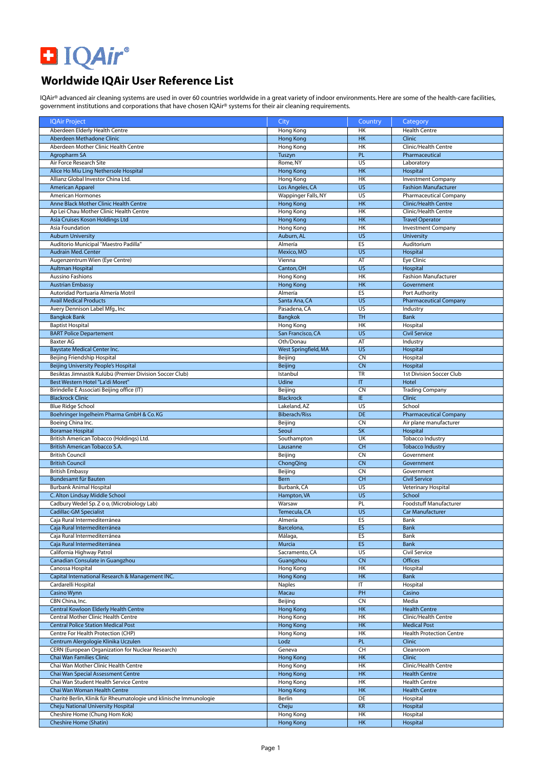

## **Worldwide IQAir User Reference List**

IQAir® advanced air cleaning systems are used in over 60 countries worldwide in a great variety of indoor environments. Here are some of the health-care facilities, government institutions and corporations that have chosen IQAir® systems for their air cleaning requirements.

| <b>IQAir Project</b>                                                              | City                                    | Country               | Category                                              |
|-----------------------------------------------------------------------------------|-----------------------------------------|-----------------------|-------------------------------------------------------|
| Aberdeen Elderly Health Centre                                                    | Hong Kong                               | HK                    | <b>Health Centre</b>                                  |
| Aberdeen Methadone Clinic                                                         | <b>Hong Kong</b>                        | HK                    | Clinic                                                |
| Aberdeen Mother Clinic Health Centre                                              | Hong Kong                               | HK                    | Clinic/Health Centre                                  |
| Agropharm SA                                                                      | Tuszyn                                  | <b>PL</b>             | Pharmaceutical                                        |
| Air Force Research Site                                                           | Rome, NY                                | US                    | Laboratory                                            |
| Alice Ho Miu Ling Nethersole Hospital                                             | <b>Hong Kong</b>                        | HK<br><b>HK</b>       | Hospital                                              |
| Allianz Global Investor China Ltd.                                                | Hong Kong                               | <b>US</b>             | <b>Investment Company</b>                             |
| American Apparel                                                                  | Los Angeles, CA                         | US                    | <b>Fashion Manufacturer</b><br>Pharmaceutical Company |
| <b>American Hormones</b><br>Anne Black Mother Clinic Health Centre                | Wappinger Falls, NY<br><b>Hong Kong</b> | H <sub>K</sub>        | <b>Clinic/Health Centre</b>                           |
| Ap Lei Chau Mother Clinic Health Centre                                           | Hong Kong                               | HK                    | Clinic/Health Centre                                  |
| Asia Cruises Koson Holdings Ltd                                                   | <b>Hong Kong</b>                        | HK                    | <b>Travel Operator</b>                                |
| Asia Foundation                                                                   | Hong Kong                               | HK                    | <b>Investment Company</b>                             |
| <b>Auburn University</b>                                                          | Auburn, AL                              | <b>US</b>             | University                                            |
| Auditorio Municipal "Maestro Padilla"                                             | Almería                                 | ES                    | Auditorium                                            |
| <b>Audrain Med. Center</b>                                                        | Mexico, MO                              | <b>US</b>             | Hospital                                              |
| Augenzentrum Wien (Eye Centre)                                                    | Vienna                                  | AT                    | <b>Eye Clinic</b>                                     |
| <b>Aultman Hospital</b>                                                           | Canton, OH                              | $\overline{US}$       | Hospital                                              |
| <b>Aussino Fashions</b>                                                           | Hong Kong                               | H <sub>K</sub>        | <b>Fashion Manufacturer</b>                           |
| <b>Austrian Embassy</b>                                                           | <b>Hong Kong</b>                        | <b>HK</b>             | Government                                            |
| Autoridad Portuaria Almería Motril                                                | Almería                                 | ES                    | Port Authority                                        |
| <b>Avail Medical Products</b>                                                     | Santa Ana, CA                           | <b>US</b>             | <b>Pharmaceutical Company</b>                         |
| Avery Dennison Label Mfg., Inc                                                    | Pasadena, CA                            | US                    | Industry                                              |
| <b>Bangkok Bank</b>                                                               | Bangkok                                 | <b>TH</b>             | <b>Bank</b>                                           |
| <b>Baptist Hospital</b>                                                           | Hong Kong                               | HK                    | Hospital                                              |
| <b>BART Police Departement</b>                                                    | San Francisco, CA                       | <b>US</b>             | <b>Civil Service</b>                                  |
| <b>Baxter AG</b>                                                                  | Oth/Donau                               | AT<br>US              | Industry                                              |
| <b>Baystate Medical Center Inc.</b><br>Beijing Friendship Hospital                | West Springfield, MA<br>Beijing         | <b>CN</b>             | Hospital<br>Hospital                                  |
| Beijing University People's Hospital                                              | Beijing                                 | <b>CN</b>             | Hospital                                              |
| Besiktas Jimnastik Kulübü (Premier Division Soccer Club)                          | Istanbul                                | <b>TR</b>             | 1st Division Soccer Club                              |
| Best Western Hotel "La'di Moret"                                                  | <b>Udine</b>                            | T                     | Hotel                                                 |
| Birindelle E Associati Beijing office (IT)                                        | Beijing                                 | <b>CN</b>             | <b>Trading Company</b>                                |
| <b>Blackrock Clinic</b>                                                           | <b>Blackrock</b>                        | IE                    | <b>Clinic</b>                                         |
| <b>Blue Ridge School</b>                                                          | Lakeland, AZ                            | US                    | School                                                |
| Boehringer Ingelheim Pharma GmbH & Co. KG                                         | <b>Biberach/Riss</b>                    | DE                    | <b>Pharmaceutical Company</b>                         |
| Boeing China Inc.                                                                 | Beijing                                 | <b>CN</b>             | Air plane manufacturer                                |
| <b>Boramae Hospital</b>                                                           | Seoul                                   | <b>SK</b>             | Hospital                                              |
| British American Tobacco (Holdings) Ltd.                                          | Southampton                             | UK                    | <b>Tobacco Industry</b>                               |
| British American Tobacco S.A.                                                     | Lausanne                                | $\overline{CH}$       | <b>Tobacco Industry</b>                               |
| <b>British Council</b>                                                            | Beijing                                 | <b>CN</b>             | Government                                            |
| <b>British Council</b>                                                            | ChongQing                               | <b>CN</b>             | Government                                            |
| <b>British Embassy</b>                                                            | Beijing                                 | <b>CN</b>             | Government                                            |
| Bundesamt für Bauten                                                              | <b>Bern</b>                             | CH<br>$\overline{US}$ | <b>Civil Service</b>                                  |
| <b>Burbank Animal Hospital</b><br>C. Alton Lindsay Middle School                  | Burbank, CA<br>Hampton, VA              | <b>US</b>             | Veterinary Hospital<br>School                         |
| Cadbury Wedel Sp. Z o o, (Microbiology Lab)                                       | Warsaw                                  | PL                    | Foodstuff Manufacturer                                |
| <b>Cadillac-GM Specialist</b>                                                     | Temecula, CA                            | <b>US</b>             | <b>Car Manufacturer</b>                               |
| Caja Rural Intermediterránea                                                      | Almería                                 | ES                    | Bank                                                  |
| Caja Rural Intermediterránea                                                      | Barcelona,                              | ES                    | Bank                                                  |
| Caja Rural Intermediterránea                                                      | Málaga,                                 | ES                    | Bank                                                  |
| Caja Rural Intermediterránea                                                      | Murcia                                  | <b>ES</b>             | Bank                                                  |
| California Highway Patrol                                                         | Sacramento, CA                          | US                    | Civil Service                                         |
| Canadian Consulate in Guangzhou                                                   | Guangzhou                               | CN                    | Offices                                               |
| Canossa Hospital                                                                  | Hong Kong                               | HK                    | Hospital                                              |
| Capital International Research & Management INC.                                  | Hong Kong                               | <b>HK</b>             | Bank                                                  |
| Cardarelli Hospital                                                               | Naples                                  | IT                    | Hospital                                              |
| Casino Wynn                                                                       | Macau                                   | PH                    | Casino                                                |
| CBN China, Inc.                                                                   | Beijing                                 | <b>CN</b>             | Media                                                 |
| <b>Central Kowloon Elderly Health Centre</b>                                      | <b>Hong Kong</b>                        | <b>HK</b>             | <b>Health Centre</b>                                  |
| Central Mother Clinic Health Centre<br><b>Central Police Station Medical Post</b> | Hong Kong<br><b>Hong Kong</b>           | HK<br>HK              | Clinic/Health Centre<br><b>Medical Post</b>           |
| Centre For Health Protection (CHP)                                                | Hong Kong                               | HK                    | <b>Health Protection Centre</b>                       |
| Centrum Alergologie Klinika Uczulen                                               | Lodz                                    | <b>PL</b>             | Clinic                                                |
| CERN (European Organization for Nuclear Research)                                 | Geneva                                  | CH                    | Cleanroom                                             |
| Chai Wan Families Clinic                                                          | <b>Hong Kong</b>                        | HK                    | Clinic                                                |
| Chai Wan Mother Clinic Health Centre                                              | Hong Kong                               | HK                    | Clinic/Health Centre                                  |
| Chai Wan Special Assessment Centre                                                | <b>Hong Kong</b>                        | <b>HK</b>             | <b>Health Centre</b>                                  |
| Chai Wan Student Health Service Centre                                            | Hong Kong                               | HK                    | <b>Health Centre</b>                                  |
| Chai Wan Woman Health Centre                                                      | <b>Hong Kong</b>                        | <b>HK</b>             | <b>Health Centre</b>                                  |
| Charité Berlin, Klinik für Rheumatologie und klinische Immunologie                | Berlin                                  | DE                    | Hospital                                              |
| Cheju National University Hospital                                                | Cheju                                   | <b>KR</b>             | Hospital                                              |
| Cheshire Home (Chung Hom Kok)                                                     | Hong Kong                               | HK                    | Hospital                                              |
| Cheshire Home (Shatin)                                                            | <b>Hong Kong</b>                        | <b>HK</b>             | Hospital                                              |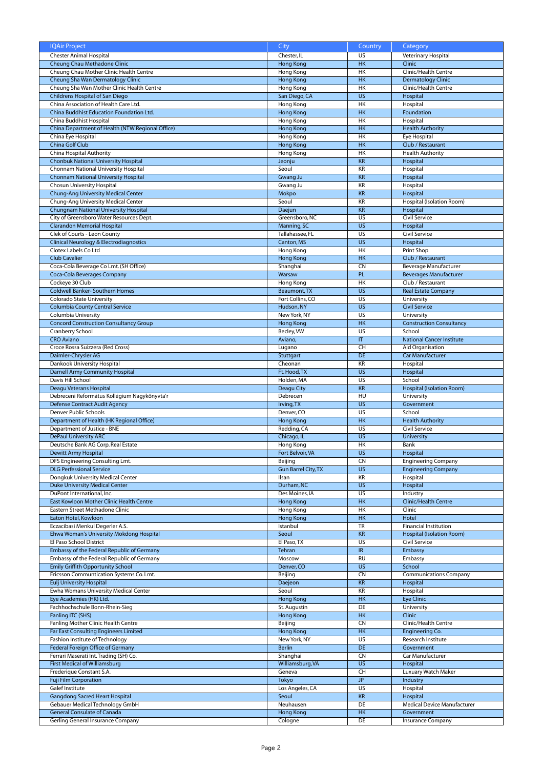| <b>IQAir Project</b>                             | City                       | Country                | Category                         |
|--------------------------------------------------|----------------------------|------------------------|----------------------------------|
| <b>Chester Animal Hospital</b>                   | Chester, IL                | US                     | Veterinary Hospital              |
| Cheung Chau Methadone Clinic                     | <b>Hong Kong</b>           | HK                     | Clinic                           |
| Cheung Chau Mother Clinic Health Centre          | Hong Kong                  | <b>HK</b>              | Clinic/Health Centre             |
| Cheung Sha Wan Dermatology Clinic                | <b>Hong Kong</b>           | H <sub>K</sub>         | <b>Dermatology Clinic</b>        |
| Cheung Sha Wan Mother Clinic Health Centre       | Hong Kong                  | H <sub>K</sub>         | Clinic/Health Centre             |
| Childrens Hospital of San Diego                  | San Diego, CA              | <b>US</b>              | Hospital                         |
|                                                  |                            | H <sub>K</sub>         |                                  |
| China Association of Health Care Ltd.            | Hong Kong                  |                        | Hospital                         |
| China Buddhist Education Foundation Ltd.         | <b>Hong Kong</b>           | H <sub>K</sub>         | Foundation                       |
| China Buddhist Hospital                          | Hong Kong                  | <b>HK</b>              | Hospital                         |
| China Department of Health (NTW Regional Office) | <b>Hong Kong</b>           | <b>HK</b>              | <b>Health Authority</b>          |
| China Eye Hospital                               | Hong Kong                  | HK                     | Eye Hospital                     |
| China Golf Club                                  | <b>Hong Kong</b>           | HK                     | Club / Restaurant                |
| China Hospital Authority                         | Hong Kong                  | HK                     | <b>Health Authority</b>          |
| <b>Chonbuk National University Hospital</b>      | Jeonju                     | <b>KR</b>              | Hospital                         |
| Chonnam National University Hospital             | Seoul                      | KR                     | Hospital                         |
| <b>Chonnam National University Hospital</b>      | Gwang Ju                   | <b>KR</b>              | Hospital                         |
| Chosun University Hospital                       | Gwang Ju                   | KR                     | Hospital                         |
| Chung-Ang University Medical Center              |                            | <b>KR</b>              |                                  |
|                                                  | Mokpo                      |                        | Hospital                         |
| Chung-Ang University Medical Center              | Seoul                      | KR                     | Hospital (Isolation Room)        |
| Chungnam National University Hospital            | Daejun                     | <b>KR</b>              | Hospital                         |
| City of Greensboro Water Resources Dept.         | Greensboro, NC             | US                     | Civil Service                    |
| <b>Clarandon Memorial Hospital</b>               | Manning, SC                | $\overline{US}$        | Hospital                         |
| Clek of Courts - Leon County                     | Tallahassee, FL            | US                     | Civil Service                    |
| Clinical Neurology & Electrodiagnostics          | Canton, MS                 | <b>US</b>              | Hospital                         |
| Clotex Labels Co Ltd                             | Hong Kong                  | HK                     | <b>Print Shop</b>                |
| <b>Club Cavalier</b>                             | Hong Kong                  | <b>HK</b>              | Club / Restaurant                |
| Coca-Cola Beverage Co Lmt. (SH Office)           | Shanghai                   | <b>CN</b>              | Beverage Manufacturer            |
| Coca-Cola Beverages Company                      | Warsaw                     | PL                     | <b>Beverages Manufacturer</b>    |
| Cockeye 30 Club                                  | Hong Kong                  | HK                     | Club / Restaurant                |
|                                                  |                            | $\overline{US}$        |                                  |
| <b>Coldwell Banker- Southern Homes</b>           | Beaumont, TX               |                        | <b>Real Estate Company</b>       |
| Colorado State University                        | Fort Collins, CO           | $\overline{US}$        | University                       |
| <b>Columbia County Central Service</b>           | Hudson, NY                 | $\overline{US}$        | <b>Civil Service</b>             |
| Columbia University                              | New York, NY               | US                     | University                       |
| <b>Concord Construction Consultancy Group</b>    | <b>Hong Kong</b>           | H <sub>K</sub>         | <b>Construction Consultancy</b>  |
| Cranberry School                                 | Becley, VW                 | $\overline{US}$        | School                           |
| <b>CRO Aviano</b>                                | Aviano,                    | $\mathsf{I}\mathsf{T}$ | <b>National Cancer Institute</b> |
| Croce Rossa Suizzera (Red Cross)                 | Lugano                     | CH                     | Aid Organisation                 |
| Daimler-Chrysler AG                              | Stuttgart                  | DE                     | Car Manufacturer                 |
| Dankook University Hospital                      | Cheonan                    | KR                     | Hospital                         |
| <b>Darnell Army Community Hospital</b>           |                            | <b>US</b>              | Hospital                         |
|                                                  | Ft. Hood, TX               |                        |                                  |
| Davis Hill School                                | Holden, MA                 | US                     | School                           |
| Deagu Veterans Hospital                          | Deagu City                 | <b>KR</b>              | <b>Hospital (Isolation Room)</b> |
| Debreceni Református Kollégium Nagykönyvta'r     | Debrecen                   | HU                     | University                       |
| Defense Contract Audit Agency                    | Irving, TX                 | $\overline{US}$        | Government                       |
| Denver Public Schools                            | Denver, CO                 | <b>US</b>              | School                           |
| Department of Health (HK Regional Office)        | <b>Hong Kong</b>           | <b>HK</b>              | <b>Health Authority</b>          |
| Department of Justice - BNE                      | Redding, CA                | US                     | Civil Service                    |
| <b>DePaul University ARC</b>                     | Chicago, IL                | $\overline{US}$        | <b>University</b>                |
| Deutsche Bank AG Corp. Real Estate               | Hong Kong                  | <b>HK</b>              | Bank                             |
| Dewitt Army Hospital                             | Fort Belvoir, VA           | US                     | Hospital                         |
| DFS Engineering Consulting Lmt.                  | Beiiina                    | <b>CN</b>              |                                  |
|                                                  |                            |                        | <b>Engineering Company</b>       |
| <b>DLG Perfessional Service</b>                  | <b>Gun Barrel City, TX</b> | <b>US</b>              | <b>Engineering Company</b>       |
| Dongkuk University Medical Center                | Ilsan                      | KR                     | Hospital                         |
| <b>Duke University Medical Center</b>            | Durham, NC                 | <b>US</b>              | Hospital                         |
| DuPont International, Inc.                       | Des Moines, IA             | US                     | <b>Industry</b>                  |
| East Kowloon Mother Clinic Health Centre         | <b>Hong Kong</b>           | HK                     | Clinic/Health Centre             |
| Eastern Street Methadone Clinic                  | Hong Kong                  | HK                     | Clinic                           |
| Eaton Hotel, Kowloon                             | <b>Hong Kong</b>           | HK                     | Hotel                            |
| Eczacibasi Menkul Degerler A.S.                  | Istanbul                   | <b>TR</b>              | <b>Financial Institution</b>     |
| Ehwa Woman's University Mokdong Hospital         | Seoul                      | <b>KR</b>              | <b>Hospital (Isolation Room)</b> |
| El Paso School District                          | El Paso, TX                | US                     | Civil Service                    |
| Embassy of the Federal Republic of Germany       | Tehran                     | IR                     | Embassy                          |
| Embassy of the Federal Republic of Germany       | Moscow                     | <b>RU</b>              | Embassy                          |
|                                                  |                            |                        |                                  |
| <b>Emily Griffith Opportunity School</b>         | Denver, CO                 | <b>US</b>              | School                           |
| Ericsson Communtication Systems Co. Lmt.         | Beijing                    | <b>CN</b>              | <b>Communications Company</b>    |
| <b>Eulj University Hospital</b>                  | Daejeon                    | <b>KR</b>              | Hospital                         |
| Ewha Womans University Medical Center            | Seoul                      | KR                     | Hospital                         |
| Eye Academies (HK) Ltd.                          | Hong Kong                  | <b>HK</b>              | <b>Eye Clinic</b>                |
| Fachhochschule Bonn-Rhein-Sieg                   | St. Augustin               | DE                     | University                       |
| Fanling ITC (SHS)                                | Hong Kong                  | <b>HK</b>              | Clinic                           |
| Fanling Mother Clinic Health Centre              | Beijing                    | <b>CN</b>              | Clinic/Health Centre             |
| Far East Consulting Engineers Limited            | Hong Kong                  | <b>HK</b>              | Engineering Co.                  |
| Fashion Institute of Technology                  | New York, NY               | <b>US</b>              | Research Institute               |
|                                                  | <b>Berlin</b>              | DE                     |                                  |
| Federal Foreign Office of Germany                |                            |                        | Government                       |
| Ferrari Maserati Int. Trading (SH) Co.           | Shanghai                   | <b>CN</b>              | Car Manufacturer                 |
| First Medical of Williamsburg                    | Williamsburg, VA           | <b>US</b>              | Hospital                         |
| Frederique Constant S.A.                         | Geneva                     | CH                     | Luxuary Watch Maker              |
| <b>Fuji Film Corporation</b>                     | Tokyo                      | <b>JP</b>              | Industry                         |
| Galef Institute                                  | Los Angeles, CA            | US                     | Hospital                         |
| <b>Gangdong Sacred Heart Hospital</b>            | Seoul                      | <b>KR</b>              | Hospital                         |
|                                                  |                            |                        |                                  |
| Gebauer Medical Technology GmbH                  | Neuhausen                  | DE                     | Medical Device Manufacturer      |
| <b>General Consulate of Canada</b>               | <b>Hong Kong</b>           | HK                     | Government                       |
| Gerling General Insurance Company                | Cologne                    | DE                     | Insurance Company                |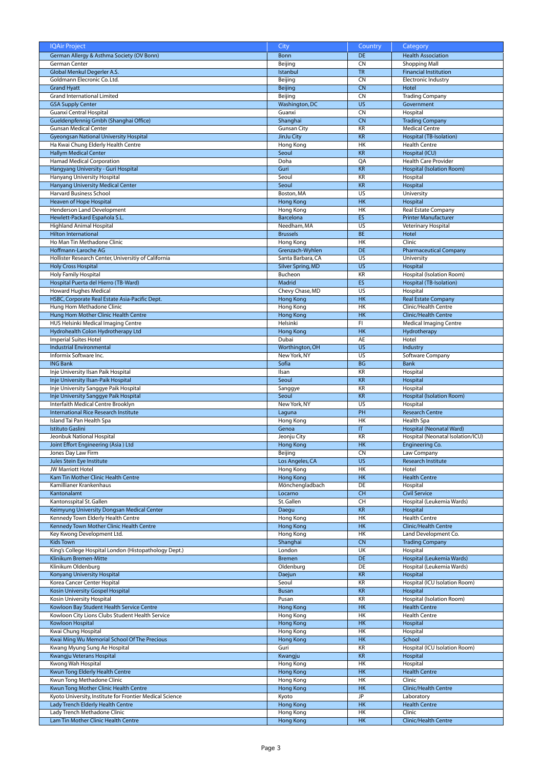| <b>IQAir Project</b>                                                | City               | Country   | Category                          |
|---------------------------------------------------------------------|--------------------|-----------|-----------------------------------|
|                                                                     |                    |           |                                   |
| German Allergy & Asthma Society (OV Bonn)                           | <b>Bonn</b>        | <b>DE</b> | <b>Health Association</b>         |
| German Center                                                       | Beijing            | <b>CN</b> | <b>Shopping Mall</b>              |
| Global Menkul Degerler A.S.                                         | Istanbul           | <b>TR</b> | <b>Financial Institution</b>      |
| Goldmann Elecronic Co. Ltd.                                         | Beijing            | <b>CN</b> | <b>Electronic Industry</b>        |
| <b>Grand Hyatt</b>                                                  | Beijing            | <b>CN</b> | Hotel                             |
| <b>Grand International Limited</b>                                  | Beijing            | <b>CN</b> | <b>Trading Company</b>            |
| <b>GSA Supply Center</b>                                            | Washington, DC     | <b>US</b> | Government                        |
| Guanxi Central Hospital                                             | Guanxi             | <b>CN</b> | Hospital                          |
| Gueldenpfennig Gmbh (Shanghai Office)                               | Shanghai           | <b>CN</b> | <b>Trading Company</b>            |
| <b>Gunsan Medical Center</b>                                        | <b>Gunsan City</b> | KR        | <b>Medical Centre</b>             |
| <b>Gyeongsan National University Hospital</b>                       | JinJu City         | <b>KR</b> | Hospital (TB-Isolation)           |
| Ha Kwai Chung Elderly Health Centre                                 | Hong Kong          | HK        | <b>Health Centre</b>              |
| <b>Hallym Medical Center</b>                                        | Seoul              | <b>KR</b> | Hospital (ICU)                    |
|                                                                     |                    |           | <b>Health Care Provider</b>       |
| Hamad Medical Corporation                                           | Doha               | QA        |                                   |
| Hangyang University - Guri Hospital                                 | Guri               | <b>KR</b> | <b>Hospital (Isolation Room)</b>  |
| Hanyang University Hospital                                         | Seoul              | <b>KR</b> | Hospital                          |
| Hanyang University Medical Center                                   | Seoul              | <b>KR</b> | Hospital                          |
| Harvard Business School                                             | Boston, MA         | US        | University                        |
| Heaven of Hope Hospital                                             | <b>Hong Kong</b>   | <b>HK</b> | Hospital                          |
| Henderson Land Development                                          | Hong Kong          | <b>HK</b> | Real Estate Company               |
| Hewlett-Packard Española S.L.                                       | Barcelona          | ES        | <b>Printer Manufacturer</b>       |
| <b>Highland Animal Hospital</b>                                     | Needham, MA        | US        | Veterinary Hospital               |
| <b>Hilton International</b>                                         | <b>Brussels</b>    | <b>BE</b> | Hotel                             |
| Ho Man Tin Methadone Clinic                                         | Hong Kong          | <b>HK</b> | Clinic                            |
| Hoffmann-Laroche AG                                                 | Grenzach-Wyhlen    | DE        | <b>Pharmaceutical Company</b>     |
|                                                                     | Santa Barbara, CA  | US        |                                   |
| Hollister Research Center, Universitiy of California                |                    |           | University                        |
| <b>Holy Cross Hospital</b>                                          | Silver Spring, MD  | US        | Hospital                          |
| <b>Holy Family Hospital</b>                                         | Bucheon            | KR        | Hospital (Isolation Room)         |
| Hospital Puerta del Hierro (TB-Ward)                                | Madrid             | <b>ES</b> | Hospital (TB-Isolation)           |
| <b>Howard Hughes Medical</b>                                        | Chevy Chase, MD    | <b>US</b> | Hospital                          |
| HSBC, Corporate Real Estate Asia-Pacific Dept.                      | <b>Hong Kong</b>   | HK        | <b>Real Estate Company</b>        |
| Hung Hom Methadone Clinic                                           | Hong Kong          | <b>HK</b> | Clinic/Health Centre              |
| Hung Hom Mother Clinic Health Centre                                | <b>Hong Kong</b>   | HK        | Clinic/Health Centre              |
| HUS Helsinki Medical Imaging Centre                                 | Helsinki           | FI.       | <b>Medical Imaging Centre</b>     |
| Hydrohealth Colon Hydrotherapy Ltd                                  | <b>Hong Kong</b>   | HK        | Hydrotherapy                      |
| Imperial Suites Hotel                                               | Dubai              | AE        | Hotel                             |
| <b>Industrial Environmental</b>                                     | Worthington, OH    | US        | Industry                          |
|                                                                     |                    |           |                                   |
| Informix Software Inc.                                              | New York, NY       | US        | Software Company                  |
| <b>ING Bank</b>                                                     | Sofia              | <b>BG</b> | <b>Bank</b>                       |
| Inje University Ilsan Paik Hospital                                 | Ilsan              | KR        | Hospital                          |
| Inje University Ilsan-Paik Hospital                                 | Seoul              | <b>KR</b> | Hospital                          |
|                                                                     |                    |           |                                   |
| Inje University Sanggye Paik Hospital                               | Sanggye            | KR        | Hospital                          |
| Inje University Sanggye Paik Hospital                               | Seoul              | <b>KR</b> | Hospital (Isolation Room)         |
| Interfaith Medical Centre Brooklyn                                  | New York, NY       | US        | Hospital                          |
| International Rice Research Institute                               |                    | PH        | <b>Research Centre</b>            |
|                                                                     | Laguna             |           |                                   |
| Island Tai Pan Health Spa                                           | Hong Kong          | HK        | Health Spa                        |
| <b>Istituto Gaslini</b>                                             | Genoa              | T         | Hospital (Neonatal Ward)          |
| Jeonbuk National Hospital                                           | Jeonju City        | KR        | Hospital (Neonatal Isolation/ICU) |
| Joint Effort Engineering (Asia) Ltd                                 | Hong Kong          | <b>HK</b> | Engineering Co.                   |
| Jones Day Law Firm                                                  | Beijing            | <b>CN</b> | Law Company                       |
| Jules Stein Eye Institute                                           | Los Angeles, CA    | <b>US</b> | Research Institute                |
| <b>JW Marriott Hotel</b>                                            | Hong Kong          | HK        | Hotel                             |
| Kam Tin Mother Clinic Health Centre                                 | <b>Hong Kong</b>   | HK        | <b>Health Centre</b>              |
| Kamillianer Krankenhaus                                             | Mönchengladbach    | DE        | Hospital                          |
| Kantonalamt                                                         | Locarno            | <b>CH</b> | <b>Civil Service</b>              |
| Kantonsspital St. Gallen                                            | St. Gallen         | CH        | Hospital (Leukemia Wards)         |
| Keimyung University Dongsan Medical Center                          | Daegu              | <b>KR</b> | Hospital                          |
| Kennedy Town Elderly Health Centre                                  | Hong Kong          | HK        | <b>Health Centre</b>              |
| Kennedy Town Mother Clinic Health Centre                            | Hong Kong          | <b>HK</b> | Clinic/Health Centre              |
| Key Kwong Development Ltd.                                          | Hong Kong          | HK        | Land Development Co.              |
| <b>Kids Town</b>                                                    |                    | CN        |                                   |
|                                                                     | Shanghai           |           | <b>Trading Company</b>            |
| King's College Hospital London (Histopathology Dept.)               | London             | UK        | Hospital                          |
| Klinikum Bremen-Mitte                                               | <b>Bremen</b>      | DE        | Hospital (Leukemia Wards)         |
| Klinikum Oldenburg                                                  | Oldenburg          | DE        | Hospital (Leukemia Wards)         |
| Konyang University Hospital                                         | Daejun             | <b>KR</b> | Hospital                          |
| Korea Cancer Center Hopital                                         | Seoul              | KR        | Hospital (ICU Isolation Room)     |
| Kosin University Gospel Hospital                                    | <b>Busan</b>       | <b>KR</b> | Hospital                          |
| Kosin University Hospital                                           | Pusan              | KR        | Hospital (Isolation Room)         |
| Kowloon Bay Student Health Service Centre                           | <b>Hong Kong</b>   | <b>HK</b> | <b>Health Centre</b>              |
| Kowloon City Lions Clubs Student Health Service                     | Hong Kong          | <b>HK</b> | <b>Health Centre</b>              |
| Kowloon Hospital                                                    | <b>Hong Kong</b>   | <b>HK</b> | Hospital                          |
| Kwai Chung Hospital                                                 | Hong Kong          | <b>HK</b> | Hospital                          |
| Kwai Ming Wu Memorial School Of The Precious                        | <b>Hong Kong</b>   | <b>HK</b> | School                            |
|                                                                     |                    |           |                                   |
| Kwang Myung Sung Ae Hospital                                        | Guri               | KR        | Hospital (ICU Isolation Room)     |
| Kwangju Veterans Hospital                                           | Kwangju            | <b>KR</b> | Hospital                          |
| Kwong Wah Hospital                                                  | Hong Kong          | HK        | Hospital                          |
| Kwun Tong Elderly Health Centre                                     | <b>Hong Kong</b>   | HK        | <b>Health Centre</b>              |
| Kwun Tong Methadone Clinic                                          | Hong Kong          | HK        | Clinic                            |
| Kwun Tong Mother Clinic Health Centre                               | <b>Hong Kong</b>   | <b>HK</b> | Clinic/Health Centre              |
| Kyoto University, Institute for Frontier Medical Science            | Kyoto              | <b>JP</b> | Laboratory                        |
| Lady Trench Elderly Health Centre                                   | <b>Hong Kong</b>   | HK        | <b>Health Centre</b>              |
| Lady Trench Methadone Clinic<br>Lam Tin Mother Clinic Health Centre | Hong Kong          | HK        | Clinic                            |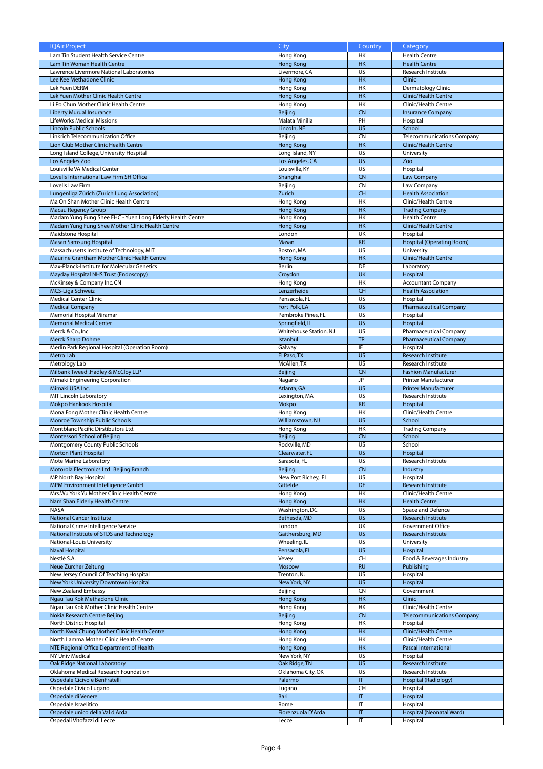| <b>IQAir Project</b>                                           | City                        | Country                      | Category                             |
|----------------------------------------------------------------|-----------------------------|------------------------------|--------------------------------------|
| Lam Tin Student Health Service Centre                          | Hong Kong                   | HK                           | <b>Health Centre</b>                 |
| Lam Tin Woman Health Centre                                    | <b>Hong Kong</b>            | HK                           | <b>Health Centre</b>                 |
| Lawrence Livermore National Laboratories                       |                             | US                           |                                      |
|                                                                | Livermore, CA               |                              | Research Institute                   |
| Lee Kee Methadone Clinic                                       | <b>Hong Kong</b>            | H <sub>K</sub>               | Clinic                               |
| Lek Yuen DERM                                                  | Hong Kong                   | H <sub>K</sub>               | Dermatology Clinic                   |
| Lek Yuen Mother Clinic Health Centre                           | <b>Hong Kong</b>            | H <sub>K</sub>               | <b>Clinic/Health Centre</b>          |
| Li Po Chun Mother Clinic Health Centre                         | Hong Kong                   | H <sub>K</sub>               | Clinic/Health Centre                 |
|                                                                |                             |                              |                                      |
| <b>Liberty Murual Insurance</b>                                | Beijing                     | <b>CN</b>                    | <b>Insurance Company</b>             |
| LifeWorks Medical Missions                                     | Malata Minilla              | PH                           | Hospital                             |
| <b>Lincoln Public Schools</b>                                  | Lincoln. NE                 | $\overline{US}$              | School                               |
| Linkrich Telecommunication Office                              | Beijing                     | <b>CN</b>                    | <b>Telecommunications Company</b>    |
| Lion Club Mother Clinic Health Centre                          | <b>Hong Kong</b>            | HK                           | <b>Clinic/Health Centre</b>          |
|                                                                |                             |                              |                                      |
| Long Island College, University Hospital                       | Long Island, NY             | US                           | University                           |
| Los Angeles Zoo                                                | Los Angeles, CA             | <b>US</b>                    | Zoo                                  |
| Louisville VA Medical Center                                   | Louisville, KY              | US                           | Hospital                             |
| Lovells International Law Firm SH Office                       | Shanghai                    | <b>CN</b>                    | <b>Law Company</b>                   |
|                                                                |                             |                              |                                      |
| Lovells Law Firm                                               | Beijing                     | <b>CN</b>                    | Law Company                          |
| Lungenliga Zürich (Zurich Lung Association)                    | Zurich                      | <b>CH</b>                    | <b>Health Association</b>            |
| Ma On Shan Mother Clinic Health Centre                         | Hong Kong                   | <b>HK</b>                    | Clinic/Health Centre                 |
| <b>Macau Regency Group</b>                                     | <b>Hong Kong</b>            | <b>HK</b>                    |                                      |
|                                                                |                             |                              | <b>Trading Company</b>               |
| Madam Yung Fung Shee EHC - Yuen Long Elderly Health Centre     | Hong Kong                   | HK                           | <b>Health Centre</b>                 |
| Madam Yung Fung Shee Mother Clinic Health Centre               | <b>Hong Kong</b>            | H <sub>K</sub>               | <b>Clinic/Health Centre</b>          |
| <b>Maidstone Hospital</b>                                      | London                      | UK                           | Hospital                             |
|                                                                | Masan                       | <b>KR</b>                    |                                      |
| <b>Masan Samsung Hospital</b>                                  |                             |                              | <b>Hospital (Operating Room)</b>     |
| Massachusetts Institute of Technology, MIT                     | Boston, MA                  | $\overline{US}$              | University                           |
| Maurine Grantham Mother Clinic Health Centre                   | <b>Hong Kong</b>            | <b>HK</b>                    | <b>Clinic/Health Centre</b>          |
| Max-Planck-Institute for Molecular Genetics                    | Berlin                      | DE                           | Laboratory                           |
|                                                                |                             |                              |                                      |
| Mayday Hospital NHS Trust (Endoscopy)                          | Croydon                     | <b>UK</b>                    | Hospital                             |
| McKinsey & Company Inc. CN                                     | Hong Kong                   | HK                           | <b>Accountant Company</b>            |
| MCS-Liga Schweiz                                               | Lenzerheide                 | CH                           | <b>Health Association</b>            |
| <b>Medical Center Clinic</b>                                   | Pensacola, FL               | $\overline{US}$              | Hospital                             |
|                                                                |                             |                              |                                      |
| <b>Medical Company</b>                                         | Fort Polk, LA               | $\overline{US}$              | <b>Pharmaceutical Company</b>        |
| Memorial Hospital Miramar                                      | Pembroke Pines, FL          | US                           | Hospital                             |
| <b>Memorial Medical Center</b>                                 | Springfield, IL             | $\overline{US}$              | Hospital                             |
|                                                                | Whitehouse Station. NJ      | US                           |                                      |
| Merck & Co., Inc.                                              |                             |                              | <b>Pharmaceutical Company</b>        |
| <b>Merck Sharp Dohme</b>                                       | Istanbul                    | <b>TR</b>                    | <b>Pharmaceutical Company</b>        |
| Merlin Park Regional Hospital (Operation Room)                 | Galway                      | IE                           | Hospital                             |
| Metro Lab                                                      | El Paso, TX                 | <b>US</b>                    | Research Institute                   |
|                                                                |                             |                              |                                      |
| Metrology Lab                                                  | McAllen, TX                 | US                           | Research Institute                   |
| Milbank Tweed , Hadley & McCloy LLP                            | Beijing                     | <b>CN</b>                    | <b>Fashion Manufacturer</b>          |
| Mimaki Engineering Corporation                                 | Nagano                      | JP                           | Printer Manufacturer                 |
| Mimaki USA Inc.                                                | Atlanta, GA                 | <b>US</b>                    | <b>Printer Manufacturer</b>          |
| <b>MIT Lincoln Laboratory</b>                                  |                             | $\overline{US}$              | Research Institute                   |
|                                                                | Lexington, MA               |                              |                                      |
|                                                                |                             |                              |                                      |
| Mokpo Hankook Hospital                                         | Mokpo                       | <b>KR</b>                    | Hospital                             |
|                                                                |                             | <b>HK</b>                    |                                      |
| Mona Fong Mother Clinic Health Centre                          | Hong Kong                   |                              | Clinic/Health Centre                 |
| Monroe Township Public Schools                                 | Williamstown, NJ            | <b>US</b>                    | School                               |
| Montblanc Pacific Dirstibutors Ltd.                            | Hong Kong                   | <b>HK</b>                    | <b>Trading Company</b>               |
| Montessori School of Beijing                                   | Beijing                     | <b>CN</b>                    | School                               |
|                                                                |                             |                              |                                      |
| Montgomery County Public Schools                               | Rockville, MD               | US                           | School                               |
| <b>Morton Plant Hospital</b>                                   | Clearwater, FL              | <b>US</b>                    | Hospital                             |
| Mote Marine Laboratory                                         | Sarasota, FL                | US                           | Research Institute                   |
| Motorola Electronics Ltd. Beijing Branch                       | Beijing                     | <b>CN</b>                    | Industry                             |
| MP North Bay Hospital                                          |                             | US                           | Hospital                             |
|                                                                | New Port Richey, FL         |                              |                                      |
| MPM Environment Intelligence GmbH                              | Gittelde                    | <b>DE</b>                    | Research Institute                   |
| Mrs. Wu York Yu Mother Clinic Health Centre                    | Hong Kong                   | HK                           | Clinic/Health Centre                 |
| Nam Shan Elderly Health Centre                                 | <b>Hong Kong</b>            | HK                           | <b>Health Centre</b>                 |
| <b>NASA</b>                                                    |                             | $\overline{US}$              |                                      |
|                                                                | Washington, DC              |                              | Space and Defence                    |
| <b>National Cancer Institute</b>                               | Bethesda, MD                | <b>US</b>                    | Research Institute                   |
| National Crime Intelligence Service                            | London                      | UK                           | Government Office                    |
| National Institute of STDS and Technology                      | Gaithersburg, MD            | <b>US</b>                    | Research Institute                   |
| National-Louis University                                      | Wheeling, IL                | US                           | University                           |
|                                                                |                             |                              |                                      |
| <b>Naval Hospital</b>                                          | Pensacola, FL               | <b>US</b>                    | Hospital                             |
| Nestlè S.A.                                                    | Vevey                       | CH                           | Food & Beverages Industry            |
| Neue Zürcher Zeitung                                           | Moscow                      | <b>RU</b>                    | Publishing                           |
|                                                                | Trenton, NJ                 | US                           |                                      |
| New Jersey Council Of Teaching Hospital                        |                             |                              | Hospital                             |
| New York University Downtown Hospital                          | New York, NY                | <b>US</b>                    | Hospital                             |
| New Zealand Embassy                                            | Beijing                     | CN                           | Government                           |
| Ngau Tau Kok Methadone Clinic                                  | <b>Hong Kong</b>            | HK                           | <b>Clinic</b>                        |
| Ngau Tau Kok Mother Clinic Health Centre                       | Hong Kong                   | HK                           | Clinic/Health Centre                 |
|                                                                |                             |                              |                                      |
| Nokia Research Centre Beijing                                  | Beijing                     | <b>CN</b>                    | <b>Telecommunications Company</b>    |
| North District Hospital                                        | Hong Kong                   | HK                           | Hospital                             |
| North Kwai Chung Mother Clinic Health Centre                   | <b>Hong Kong</b>            | <b>HK</b>                    | <b>Clinic/Health Centre</b>          |
| North Lamma Mother Clinic Health Centre                        |                             | HK                           | Clinic/Health Centre                 |
|                                                                | Hong Kong                   |                              |                                      |
| NTE Regional Office Department of Health                       | <b>Hong Kong</b>            | <b>HK</b>                    | Pascal International                 |
| NY Univ Medical                                                | New York, NY                | US                           | Hospital                             |
| <b>Oak Ridge National Laboratory</b>                           | Oak Ridge, TN               | <b>US</b>                    | Research Institute                   |
|                                                                |                             |                              |                                      |
| Oklahoma Medical Research Foundation                           | Oklahoma City, OK           | US                           | Research Institute                   |
| Ospedale Cicivo e BenFratelli                                  | Palermo                     | $\mathsf{I}\mathsf{T}$       | Hospital (Radiology)                 |
| Ospedale Civico Lugano                                         | Lugano                      | CH                           | Hospital                             |
| Ospedale di Venere                                             | Bari                        | IT                           | Hospital                             |
|                                                                |                             |                              |                                      |
| Ospedale Israelitico                                           | Rome                        | IT                           | Hospital                             |
| Ospedale unico della Val d'Arda<br>Ospedali Vitofazzi di Lecce | Fiorenzuola D'Arda<br>Lecce | $\mathsf{I}\mathsf{T}$<br>IT | Hospital (Neonatal Ward)<br>Hospital |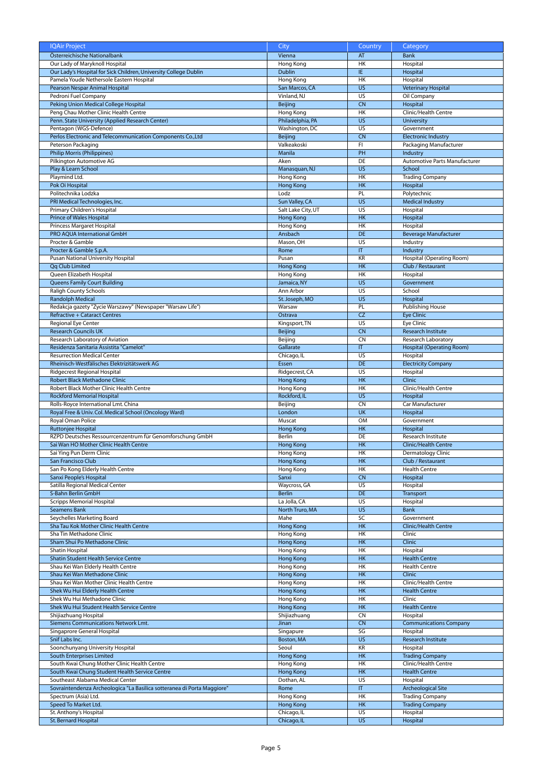| <b>IQAir Project</b>                                                    | City               | Country                 | Category                             |
|-------------------------------------------------------------------------|--------------------|-------------------------|--------------------------------------|
| Österreichische Nationalbank                                            | Vienna             | AT                      | <b>Bank</b>                          |
| Our Lady of Maryknoll Hospital                                          | Hong Kong          | H <sub>K</sub>          | Hospital                             |
| Our Lady's Hospital for Sick Children, University College Dublin        | Dublin             | IE.                     | Hospital                             |
| Pamela Youde Nethersole Eastern Hospital                                | Hong Kong          | HK                      | Hospital                             |
| <b>Pearson Nespar Animal Hospital</b>                                   | San Marcos, CA     | $\overline{US}$         | <b>Veterinary Hospital</b>           |
| Pedroni Fuel Company                                                    | Vinland, NJ        | $\overline{US}$         | Oil Company                          |
| Peking Union Medical College Hospital                                   | <b>Beijing</b>     | <b>CN</b>               | Hospital                             |
| Peng Chau Mother Clinic Health Centre                                   | Hong Kong          | HK                      | Clinic/Health Centre                 |
| Penn. State University (Applied Research Center)                        | Philadelphia, PA   | <b>US</b>               | University                           |
| Pentagon (WGS-Defence)                                                  | Washington, DC     | US                      | Government                           |
| Perlos Electronic and Telecommunication Components Co., Ltd             | Beijing            | C <sub>N</sub>          | <b>Electronic Industry</b>           |
|                                                                         | Valkeakoski        | FI.                     |                                      |
| Peterson Packaging                                                      |                    |                         | Packaging Manufacturer               |
| <b>Philip Morris (Philippines)</b>                                      | Manila             | PH                      | Industry                             |
| Pilkington Automotive AG                                                | Aken               | DE                      | <b>Automotive Parts Manufacturer</b> |
| Play & Learn School                                                     | Manasquan, NJ      | <b>US</b>               | School                               |
| Playmind Ltd.                                                           | Hong Kong          | <b>HK</b>               | <b>Trading Company</b>               |
| Pok Oi Hospital                                                         | <b>Hong Kong</b>   | HK                      | Hospital                             |
| Politechnika Lodzka                                                     | Lodz               | PL                      | Polytechnic                          |
| PRI Medical Technologies, Inc.                                          | Sun Valley, CA     | <b>US</b>               | <b>Medical Industry</b>              |
| Primary Children's Hospital                                             | Salt Lake City, UT | US                      | Hospital                             |
| <b>Prince of Wales Hospital</b>                                         | Hong Kong          | H <sub>K</sub>          | Hospital                             |
| <b>Princess Margaret Hospital</b>                                       | Hong Kong          | <b>HK</b>               | Hospital                             |
| <b>PRO AOUA International GmbH</b>                                      | Ansbach            | <b>DE</b>               | <b>Beverage Manufacturer</b>         |
| Procter & Gamble                                                        | Mason, OH          | $\overline{US}$         | Industry                             |
| Procter & Gamble S.p.A.                                                 | Rome               | $\overline{\mathsf{T}}$ | Industry                             |
| <b>Pusan National University Hospital</b>                               | Pusan              | KR                      | Hospital (Operating Room)            |
| <b>Qq Club Limited</b>                                                  | <b>Hong Kong</b>   | H <sub>K</sub>          | Club / Restaurant                    |
| Queen Elizabeth Hospital                                                | Hong Kong          | <b>HK</b>               | Hospital                             |
| <b>Queens Family Court Building</b>                                     | Jamaica, NY        | $\overline{US}$         | Government                           |
|                                                                         |                    |                         |                                      |
| <b>Raligh County Schools</b>                                            | Ann Arbor          | US                      | School                               |
| <b>Randolph Medical</b>                                                 | St. Joseph, MO     | <b>US</b>               | Hospital                             |
| Redakcja gazety "Zycie Warszawy" (Newspaper "Warsaw Life")              | Warsaw             | PL                      | Publishing House                     |
| <b>Refractive + Cataract Centres</b>                                    | Ostrava            | <b>CZ</b>               | <b>Eye Clinic</b>                    |
| Regional Eye Center                                                     | Kingsport, TN      | US                      | Eye Clinic                           |
| <b>Research Councils UK</b>                                             | Beijing            | <b>CN</b>               | Research Institute                   |
| Research Laboratory of Aviation                                         | Beijing            | <b>CN</b>               | Research Laboratory                  |
| Residenza Sanitaria Assistita "Camelot"                                 | Gallarate          | $\overline{\mathsf{T}}$ | <b>Hospital (Operating Room)</b>     |
| <b>Resurrection Medical Center</b>                                      | Chicago, IL        | US                      | Hospital                             |
| Rheinisch-Westfälisches Elektrizitätswerk AG                            | Essen              | <b>DE</b>               | <b>Electricity Company</b>           |
| Ridgecrest Regional Hospital                                            | Ridgecrest, CA     | US                      | Hospital                             |
| Robert Black Methadone Clinic                                           | <b>Hong Kong</b>   | H <sub>K</sub>          | <b>Clinic</b>                        |
| Robert Black Mother Clinic Health Centre                                | Hong Kong          | <b>HK</b>               | Clinic/Health Centre                 |
| <b>Rockford Memorial Hospital</b>                                       | Rockford, IL       | <b>US</b>               | Hospital                             |
| Rolls-Royce International Lmt. China                                    | Beijing            | C <sub>N</sub>          | Car Manufacturer                     |
| Royal Free & Univ. Col. Medical School (Oncology Ward)                  | London             | <b>UK</b>               | Hospital                             |
| Royal Oman Police                                                       | Muscat             | <b>OM</b>               | Government                           |
| Ruttonjee Hospital                                                      |                    | HK                      | Hospital                             |
|                                                                         | <b>Hong Kong</b>   |                         |                                      |
| RZPD Deutsches Ressourrcenzentrum für Genomforschung GmbH               | Berlin             | DE                      | Research Institute                   |
| Sai Wan HO Mother Clinic Health Centre                                  | <b>Hong Kong</b>   | <b>HK</b>               | <b>Clinic/Health Centre</b>          |
| Sai Ying Pun Derm Clinic                                                | Hong Kong          | HK                      | Dermatology Clinic                   |
| San Francisco Club                                                      | <b>Hong Kong</b>   | HK                      | Club / Restaurant                    |
| San Po Kong Elderly Health Centre                                       | Hong Kong          | HK                      | <b>Health Centre</b>                 |
| Sanxi People's Hospital                                                 | Sanxi              | <b>CN</b>               | Hospital                             |
| Satilla Regional Medical Center                                         | Waycross, GA       | US                      | Hospital                             |
| S-Bahn Berlin GmbH                                                      | <b>Berlin</b>      | DE                      | Transport                            |
| <b>Scripps Memorial Hospital</b>                                        | La Jolla, CA       | US                      | Hospital                             |
| <b>Seamens Bank</b>                                                     | North Truro, MA    | <b>US</b>               | Bank                                 |
| Seychelles Marketing Board                                              | Mahe               | SC                      | Government                           |
| Sha Tau Kok Mother Clinic Health Centre                                 | <b>Hong Kong</b>   | HK                      | Clinic/Health Centre                 |
| Sha Tin Methadone Clinic                                                | Hong Kong          | HK                      | Clinic                               |
| Sham Shui Po Methadone Clinic                                           | <b>Hong Kong</b>   | HK                      | Clinic                               |
| Shatin Hospital                                                         | Hong Kong          | HK                      | Hospital                             |
| Shatin Student Health Service Centre                                    | <b>Hong Kong</b>   | HK                      | <b>Health Centre</b>                 |
| Shau Kei Wan Elderly Health Centre                                      | Hong Kong          | HK                      | <b>Health Centre</b>                 |
| Shau Kei Wan Methadone Clinic                                           | <b>Hong Kong</b>   | HK                      | Clinic                               |
| Shau Kei Wan Mother Clinic Health Centre                                | Hong Kong          | <b>HK</b>               | Clinic/Health Centre                 |
| Shek Wu Hui Elderly Health Centre                                       | <b>Hong Kong</b>   | HK                      | <b>Health Centre</b>                 |
| Shek Wu Hui Methadone Clinic                                            | Hong Kong          | HK                      | Clinic                               |
|                                                                         |                    |                         |                                      |
| Shek Wu Hui Student Health Service Centre                               | <b>Hong Kong</b>   | HK                      | <b>Health Centre</b>                 |
| Shijiazhuang Hospital                                                   | Shijiazhuang       | <b>CN</b>               | Hospital                             |
| Siemens Communications Network Lmt.                                     | Jinan              | <b>CN</b>               | <b>Communications Company</b>        |
| Singaprore General Hospital                                             | Singapure          | SG                      | Hospital                             |
| Snif Labs Inc.                                                          | Boston, MA         | <b>US</b>               | Research Institute                   |
| Soonchunyang University Hospital                                        | Seoul              | KR                      | Hospital                             |
| South Enterprises Limited                                               | <b>Hong Kong</b>   | HK                      | <b>Trading Company</b>               |
|                                                                         |                    |                         | Clinic/Health Centre                 |
| South Kwai Chung Mother Clinic Health Centre                            | Hong Kong          | HK                      |                                      |
| South Kwai Chung Student Health Service Centre                          | <b>Hong Kong</b>   | HK                      | <b>Health Centre</b>                 |
| Southeast Alabama Medical Center                                        | Dothan, AL         | US                      | Hospital                             |
| Sovraintendenza Archeologica "La Basilica sotteranea di Porta Maggiore" | Rome               | $\overline{\mathsf{I}}$ | <b>Archeological Site</b>            |
| Spectrum (Asia) Ltd.                                                    | Hong Kong          | HK                      | <b>Trading Company</b>               |
| Speed To Market Ltd.                                                    | <b>Hong Kong</b>   | HK                      | <b>Trading Company</b>               |
| St. Anthony's Hospital                                                  | Chicago, IL        | US                      | Hospital                             |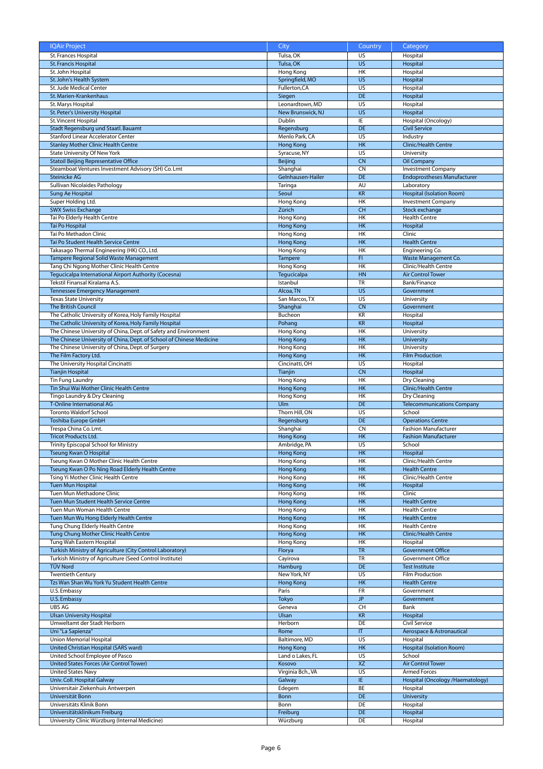| <b>IQAir Project</b>                                                            | City                 | Country         | <b>Category</b>                    |
|---------------------------------------------------------------------------------|----------------------|-----------------|------------------------------------|
| St. Frances Hospital                                                            | Tulsa, OK            | US              | Hospital                           |
| <b>St. Francis Hospital</b>                                                     | Tulsa, OK            | <b>US</b>       | Hospital                           |
|                                                                                 | Hong Kong            | HK              |                                    |
| St. John Hospital                                                               |                      |                 | Hospital                           |
| St. John's Health System                                                        | Springfield, MO      | <b>US</b>       | Hospital                           |
| St. Jude Medical Center                                                         | Fullerton, CA        | <b>US</b>       | Hospital                           |
| St. Marien-Krankenhaus                                                          | Siegen               | <b>DE</b>       | Hospital                           |
| St. Marys Hospital                                                              | Leonardtown, MD      | $\overline{US}$ | Hospital                           |
| St. Peter's University Hospital                                                 | New Brunswick, NJ    | <b>US</b>       | Hospital                           |
|                                                                                 |                      |                 |                                    |
| St. Vincent Hospital                                                            | Dublin               | IE              | Hospital (Oncology)                |
| Stadt Regensburg und Staatl. Bauamt                                             | Regensburg           | DE              | <b>Civil Service</b>               |
| Stanford Linear Accelerator Center                                              | Menlo Park, CA       | US              | Industry                           |
| <b>Stanley Mother Clinic Health Centre</b>                                      | <b>Hong Kong</b>     | HK              | <b>Clinic/Health Centre</b>        |
| State University Of New York                                                    | Syracuse, NY         | US              | University                         |
|                                                                                 |                      |                 |                                    |
| <b>Statoil Beijing Representative Office</b>                                    | Beijing              | CN              | Oil Company                        |
| Steamboat Ventures Investment Advisory (SH) Co. Lmt                             | Shanghai             | CN              | <b>Investment Company</b>          |
| <b>Steinicke AG</b>                                                             | Gelnhausen-Hailer    | DE              | <b>Endoprostheses Manufacturer</b> |
| Sullivan Nicolaides Pathology                                                   | Taringa              | <b>AU</b>       | Laboratory                         |
| Sung Ae Hospital                                                                | Seoul                | <b>KR</b>       | Hospital (Isolation Room)          |
|                                                                                 |                      |                 |                                    |
| Super Holding Ltd.                                                              | Hong Kong            | HK              | <b>Investment Company</b>          |
| <b>SWX Swiss Exchange</b>                                                       | Zürich               | <b>CH</b>       | Stock exchange                     |
| Tai Po Elderly Health Centre                                                    | Hong Kong            | <b>HK</b>       | <b>Health Centre</b>               |
| Tai Po Hospital                                                                 | <b>Hong Kong</b>     | HK              | Hospital                           |
| Tai Po Methadon Clinic                                                          | Hong Kong            | <b>HK</b>       | Clinic                             |
|                                                                                 |                      |                 |                                    |
| Tai Po Student Health Service Centre                                            | <b>Hong Kong</b>     | <b>HK</b>       | <b>Health Centre</b>               |
| Takasago Thermal Engineering (HK) CO., Ltd.                                     | Hong Kong            | HK              | Engineering Co.                    |
| Tampere Regional Solid Waste Management                                         | <b>Tampere</b>       | F1              | Waste Management Co.               |
| Tang Chi Ngong Mother Clinic Health Centre                                      | Hong Kong            | HK              | Clinic/Health Centre               |
| Tequcicalpa International Airport Authority (Cocesna)                           |                      | HN              | <b>Air Control Tower</b>           |
|                                                                                 | Tegucicalpa          |                 |                                    |
| Tekstil Finansal Kiralama A.S.                                                  | Istanbul             | TR              | Bank/Finance                       |
| <b>Tennessee Emergency Management</b>                                           | Alcoa, TN            | <b>US</b>       | Government                         |
| <b>Texas State University</b>                                                   | San Marcos. TX       | US              | University                         |
| The British Council                                                             | Shanghai             | <b>CN</b>       | Government                         |
|                                                                                 | Bucheon              | KR              |                                    |
| The Catholic University of Korea, Holy Family Hospital                          |                      |                 | Hospital                           |
| The Catholic University of Korea, Holy Family Hospital                          | Pohang               | KR              | Hospital                           |
| The Chinese University of China, Dept. of Safety and Environment                | Hong Kong            | HK              | University                         |
| The Chinese University of China, Dept. of School of Chinese Medicine            | <b>Hong Kong</b>     | HK              | University                         |
| The Chinese University of China, Dept. of Surgery                               | Hong Kong            | HK              | University                         |
|                                                                                 |                      |                 |                                    |
| The Film Factory Ltd.                                                           | <b>Hong Kong</b>     | HK              | <b>Film Production</b>             |
| The University Hospital Cincinatti                                              | Cincinatti, OH       | US              | Hospital                           |
| <b>Tianjin Hospital</b>                                                         | Tianjin              | <b>CN</b>       | Hospital                           |
| Tin Fung Laundry                                                                | Hong Kong            | HK              | Dry Cleaning                       |
| Tin Shui Wai Mother Clinic Health Centre                                        | <b>Hong Kong</b>     | HK              | <b>Clinic/Health Centre</b>        |
|                                                                                 |                      |                 |                                    |
| Tingo Laundry & Dry Cleaning                                                    | Hong Kong            | HK              | Dry Cleaning                       |
| <b>T-Online International AG</b>                                                | Ulm                  | <b>DE</b>       | <b>Telecommunications Company</b>  |
| <b>Toronto Waldorf School</b>                                                   | Thorn Hill, ON       | US              | School                             |
| Toshiba Europe GmbH                                                             | Regensburg           | <b>DE</b>       | <b>Operations Centre</b>           |
| Trespa China Co. Lmt.                                                           | Shanghai             | CN              | <b>Fashion Manufacturer</b>        |
|                                                                                 |                      |                 |                                    |
| <b>Tricot Products Ltd.</b>                                                     | <b>Hong Kong</b>     | <b>HK</b>       | <b>Fashion Manufacturer</b>        |
| Trinity Episcopal School for Ministry                                           | Ambridge, PA         | US              | School                             |
| Tseung Kwan O Hospital                                                          | Hong Kong            | HK              | Hospital                           |
| Tseung Kwan O Mother Clinic Health Centre                                       | Hong Kong            | HK              | Clinic/Health Centre               |
| Tseung Kwan O Po Ning Road Elderly Health Centre                                | <b>Hong Kong</b>     | HK              | <b>Health Centre</b>               |
|                                                                                 |                      |                 |                                    |
| Tsing Yi Mother Clinic Health Centre                                            | Hong Kong            | HK              | Clinic/Health Centre               |
| <b>Tuen Mun Hospital</b>                                                        | <b>Hong Kong</b>     | HK              | Hospital                           |
| Tuen Mun Methadone Clinic                                                       | Hong Kong            | <b>HK</b>       | Clinic                             |
| Tuen Mun Student Health Service Centre                                          | <b>Hong Kong</b>     | <b>HK</b>       | <b>Health Centre</b>               |
| Tuen Mun Woman Health Centre                                                    | Hong Kong            | HK              | <b>Health Centre</b>               |
|                                                                                 |                      |                 |                                    |
| Tuen Mun Wu Hong Elderly Health Centre                                          | <b>Hong Kong</b>     | HK              | <b>Health Centre</b>               |
| Tung Chung Elderly Health Centre                                                | Hong Kong            | <b>HK</b>       | <b>Health Centre</b>               |
| Tung Chung Mother Clinic Health Centre                                          | <b>Hong Kong</b>     | HK              | Clinic/Health Centre               |
| Tung Wah Eastern Hospital                                                       | Hong Kong            | <b>HK</b>       | Hospital                           |
| Turkish Ministry of Agriculture (City Control Laboratory)                       | Florya               | <b>TR</b>       | <b>Government Office</b>           |
|                                                                                 |                      | TR              | Government Office                  |
| Turkish Ministry of Agriculture (Seed Control Institute)                        | Cayirova             |                 |                                    |
| <b>TÜV Nord</b>                                                                 | Hamburg              | DE              | <b>Test Institute</b>              |
| <b>Twentieth Century</b>                                                        | New York, NY         | US              | Film Production                    |
| Tzs Wan Shan Wu York Yu Student Health Centre                                   | <b>Hong Kong</b>     | HK              | <b>Health Centre</b>               |
| U.S. Embassy                                                                    | Paris                | FR              | Government                         |
|                                                                                 |                      |                 |                                    |
| U.S. Embassy                                                                    | Tokyo                | JP.             | Government                         |
| UBS AG                                                                          | Geneva               | CH              | Bank                               |
| <b>Ulsan University Hospital</b>                                                | Ulsan                | <b>KR</b>       | Hospital                           |
| Umweltamt der Stadt Herborn                                                     | Herborn              | DE              | Civil Service                      |
| Uni "La Sapienza"                                                               | Rome                 | IT              | Aerospace & Astronautical          |
|                                                                                 |                      |                 |                                    |
| Union Memorial Hospital                                                         | Baltimore, MD        | US              | Hospital                           |
|                                                                                 |                      |                 | Hospital (Isolation Room)          |
| United Christian Hospital (SARS ward)                                           | <b>Hong Kong</b>     | <b>HK</b>       |                                    |
| United School Employee of Pasco                                                 | Land o Lakes, FL     | US              | School                             |
|                                                                                 |                      |                 |                                    |
| United States Forces (Air Control Tower)                                        | Kosovo               | <b>XZ</b>       | <b>Air Control Tower</b>           |
| <b>United States Navy</b>                                                       | Virginia Bch., VA    | US              | <b>Armed Forces</b>                |
| Univ. Coll. Hospital Galway                                                     | Galway               | IE              | Hospital (Oncology /Haematology)   |
| Universitair Ziekenhuis Antwerpen                                               | Edegem               | BE              | Hospital                           |
| Universität Bonn                                                                | <b>Bonn</b>          | DE              | <b>University</b>                  |
|                                                                                 |                      |                 |                                    |
| Universitäts Klinik Bonn                                                        | Bonn                 | DE              | Hospital                           |
| Universitätsklinikum Freiburg<br>University Clinic Würzburg (Internal Medicine) | Freiburg<br>Würzburg | <b>DE</b><br>DE | Hospital<br>Hospital               |